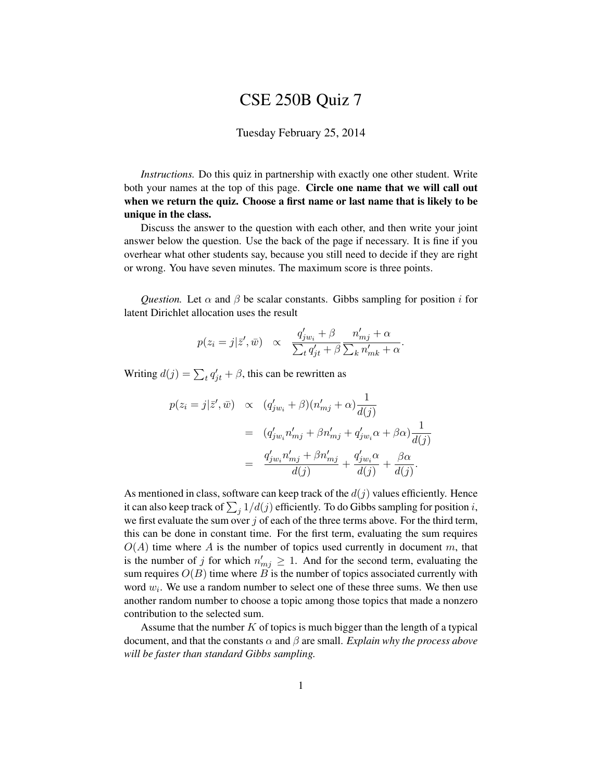## CSE 250B Quiz 7

## Tuesday February 25, 2014

*Instructions.* Do this quiz in partnership with exactly one other student. Write both your names at the top of this page. Circle one name that we will call out when we return the quiz. Choose a first name or last name that is likely to be unique in the class.

Discuss the answer to the question with each other, and then write your joint answer below the question. Use the back of the page if necessary. It is fine if you overhear what other students say, because you still need to decide if they are right or wrong. You have seven minutes. The maximum score is three points.

*Question.* Let  $\alpha$  and  $\beta$  be scalar constants. Gibbs sampling for position i for latent Dirichlet allocation uses the result

$$
p(z_i=j|\bar{z}',\bar{w}) \propto \frac{q'_{jw_i}+\beta}{\sum_t q'_{jt}+\beta} \frac{n'_{mj}+\alpha}{\sum_k n'_{mk}+\alpha}.
$$

Writing  $d(j) = \sum_t q'_{jt} + \beta$ , this can be rewritten as

$$
p(z_i = j | \bar{z}', \bar{w}) \propto (q'_{jw_i} + \beta)(n'_{mj} + \alpha) \frac{1}{d(j)}
$$
  

$$
= (q'_{jw_i}n'_{mj} + \beta n'_{mj} + q'_{jw_i}\alpha + \beta \alpha) \frac{1}{d(j)}
$$
  

$$
= \frac{q'_{jw_i}n'_{mj} + \beta n'_{mj}}{d(j)} + \frac{q'_{jw_i}\alpha}{d(j)} + \frac{\beta \alpha}{d(j)}.
$$

As mentioned in class, software can keep track of the  $d(j)$  values efficiently. Hence it can also keep track of  $\sum_j 1/d(j)$  efficiently. To do Gibbs sampling for position  $i,$ we first evaluate the sum over  $j$  of each of the three terms above. For the third term, this can be done in constant time. For the first term, evaluating the sum requires  $O(A)$  time where A is the number of topics used currently in document m, that is the number of j for which  $n'_{mj} \geq 1$ . And for the second term, evaluating the sum requires  $O(B)$  time where  $\overline{B}$  is the number of topics associated currently with word  $w_i$ . We use a random number to select one of these three sums. We then use another random number to choose a topic among those topics that made a nonzero contribution to the selected sum.

Assume that the number  $K$  of topics is much bigger than the length of a typical document, and that the constants  $\alpha$  and  $\beta$  are small. *Explain why the process above will be faster than standard Gibbs sampling.*